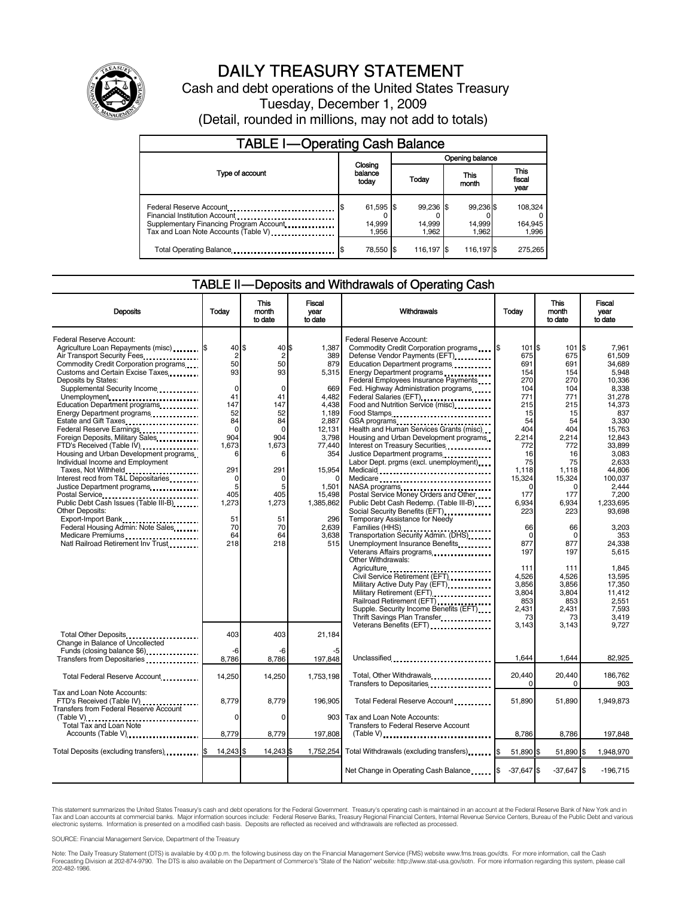

# DAILY TREASURY STATEMENT

Cash and debt operations of the United States Treasury Tuesday, December 1, 2009 (Detail, rounded in millions, may not add to totals)

| <b>TABLE I-Operating Cash Balance</b>                                                                                                       |                                |                               |                              |                             |  |  |  |
|---------------------------------------------------------------------------------------------------------------------------------------------|--------------------------------|-------------------------------|------------------------------|-----------------------------|--|--|--|
| Opening balance                                                                                                                             |                                |                               |                              |                             |  |  |  |
| Type of account                                                                                                                             | Closing<br>balance<br>today    | This<br><b>Today</b><br>month |                              | This<br>fiscal<br>year      |  |  |  |
| Federal Reserve Account<br>Financial Institution Account<br>Supplementary Financing Program Account<br>Tax and Loan Note Accounts (Table V) | $61,595$ \$<br>14,999<br>1.956 | 99,236 \$<br>14.999<br>1.962  | 99,236 \$<br>14.999<br>1.962 | 108,324<br>164,945<br>1,996 |  |  |  |
| Total Operating Balance                                                                                                                     | 78,550 \$                      | 116.197 \$                    | 116,197 \$                   | 275.265                     |  |  |  |

### TABLE II — Deposits and Withdrawals of Operating Cash

| <b>Deposits</b>                                                                                                                                                                                                                                                                                                                                                                                                                                                                                                                                                                                                                                                                                                                                                                                            | Todav                                                                                                                                                                            | <b>This</b><br>month<br>to date                                                                                                                                | <b>Fiscal</b><br>vear<br>to date                                                                                                                                                      | Withdrawals                                                                                                                                                                                                                                                                                                                                                                                                                                                                                                                                                                                                                                                                                                                                                                                                                                                                                                        | Todav                                                                                                                                                                                                                 | <b>This</b><br>month<br>to date                                                                                                                                                                                       | <b>Fiscal</b><br>vear<br>to date                                                                                                                                                                                                                                               |
|------------------------------------------------------------------------------------------------------------------------------------------------------------------------------------------------------------------------------------------------------------------------------------------------------------------------------------------------------------------------------------------------------------------------------------------------------------------------------------------------------------------------------------------------------------------------------------------------------------------------------------------------------------------------------------------------------------------------------------------------------------------------------------------------------------|----------------------------------------------------------------------------------------------------------------------------------------------------------------------------------|----------------------------------------------------------------------------------------------------------------------------------------------------------------|---------------------------------------------------------------------------------------------------------------------------------------------------------------------------------------|--------------------------------------------------------------------------------------------------------------------------------------------------------------------------------------------------------------------------------------------------------------------------------------------------------------------------------------------------------------------------------------------------------------------------------------------------------------------------------------------------------------------------------------------------------------------------------------------------------------------------------------------------------------------------------------------------------------------------------------------------------------------------------------------------------------------------------------------------------------------------------------------------------------------|-----------------------------------------------------------------------------------------------------------------------------------------------------------------------------------------------------------------------|-----------------------------------------------------------------------------------------------------------------------------------------------------------------------------------------------------------------------|--------------------------------------------------------------------------------------------------------------------------------------------------------------------------------------------------------------------------------------------------------------------------------|
| Federal Reserve Account:<br>Agriculture Loan Repayments (misc)  S<br>Air Transport Security Fees<br>Commodity Credit Corporation programs<br>Customs and Certain Excise Taxes<br>Deposits by States:<br>Supplemental Security Income<br>Unemployment<br>Education Department programs<br>Energy Department programs<br>Estate and Gift Taxes<br>Federal Reserve Earnings<br>Foreign Deposits, Military Sales<br>FTD's Received (Table IV)<br>Housing and Urban Development programs<br>Individual Income and Employment<br>Taxes, Not Withheld<br>Interest recd from T&L Depositaries<br>Justice Department programs<br>Public Debt Cash Issues (Table III-B)<br>Other Deposits:<br>Export-Import Bank<br>Federal Housing Admin: Note Sales<br>Medicare Premiums<br><br>Natl Railroad Retirement Inv Trust | 40 \$<br>$\overline{2}$<br>50<br>93<br>$\mathbf 0$<br>41<br>147<br>52<br>84<br>$\mathbf 0$<br>904<br>1.673<br>6<br>291<br>$\Omega$<br>5<br>405<br>1,273<br>51<br>70<br>64<br>218 | 40 \$<br>$\overline{c}$<br>50<br>93<br>$\Omega$<br>41<br>147<br>52<br>84<br>$\Omega$<br>904<br>1,673<br>291<br>O<br>5<br>405<br>1,273<br>51<br>70<br>64<br>218 | 1.387<br>389<br>879<br>5,315<br>669<br>4,482<br>4,438<br>1,189<br>2,887<br>12,131<br>3,798<br>77,440<br>354<br>15,954<br>1,501<br>15.498<br>1.385.862<br>296<br>2,639<br>3.638<br>515 | Federal Reserve Account:<br>Commodity Credit Corporation programs \,\<br>Defense Vendor Payments (EFT)<br>Education Department programs<br>Energy Department programs<br>Federal Employees Insurance Payments<br>Fed. Highway Administration programs<br>Federal Salaries (EFT)<br>Food and Nutrition Service (misc)<br>Food Stamps<br>GSA programs<br>Health and Human Services Grants (misc)<br>Housing and Urban Development programs<br>Interest on Treasury Securities<br>Labor Dept. prgms (excl. unemployment)<br>NASA programs<br>Postal Service Money Orders and Other<br>Public Debt Cash Redemp. (Table III-B)<br>Social Security Benefits (EFT)<br>Temporary Assistance for Needy<br>Transportation Security Admin. (DHS)<br>Unemployment Insurance Benefits<br>Veterans Affairs programs<br>Other Withdrawals:<br>Agriculture<br>Civil Service Retirement (EFT)<br><br>Military Active Duty Pay (EFT) | 101 \$<br>675<br>691<br>154<br>270<br>104<br>771<br>215<br>15<br>54<br>404<br>2,214<br>772<br>16<br>75<br>1.118<br>15,324<br>$\Omega$<br>177<br>6.934<br>223<br>66<br>$\Omega$<br>877<br>197<br>111<br>4.526<br>3,856 | 101<br>675<br>691<br>154<br>270<br>104<br>771<br>215<br>15<br>54<br>404<br>2,214<br>772<br>16<br>75<br>1.118<br>15,324<br>$\Omega$<br>177<br>6.934<br>223<br>66<br>$\mathbf 0$<br>877<br>197<br>111<br>4.526<br>3,856 | l\$<br>7.961<br>61,509<br>34,689<br>5.948<br>10,336<br>8.338<br>31.278<br>14,373<br>837<br>3.330<br>15.763<br>12,843<br>33.899<br>3.083<br>2.633<br>44.806<br>100.037<br>2.444<br>7.200<br>1.233.695<br>93,698<br>3,203<br>353<br>24.338<br>5.615<br>1.845<br>13.595<br>17,350 |
| Change in Balance of Uncollected<br>Funds (closing balance \$6)                                                                                                                                                                                                                                                                                                                                                                                                                                                                                                                                                                                                                                                                                                                                            | 403<br>-6                                                                                                                                                                        | 403<br>-6                                                                                                                                                      | 21.184                                                                                                                                                                                | Military Retirement (EFT)<br>Railroad Retirement (EFT)<br>Supple. Security Income Benefits (EFT)<br>Thrift Savings Plan Transfer<br>Veterans Benefits (EFT)                                                                                                                                                                                                                                                                                                                                                                                                                                                                                                                                                                                                                                                                                                                                                        | 3,804<br>853<br>2,431<br>73<br>3,143                                                                                                                                                                                  | 3,804<br>853<br>2,431<br>73<br>3,143                                                                                                                                                                                  | 11,412<br>2,551<br>7,593<br>3,419<br>9,727                                                                                                                                                                                                                                     |
| Total Federal Reserve Account                                                                                                                                                                                                                                                                                                                                                                                                                                                                                                                                                                                                                                                                                                                                                                              | 8.786<br>14,250                                                                                                                                                                  | 8,786<br>14,250                                                                                                                                                | 197,848<br>1,753,198                                                                                                                                                                  | Unclassified<br>Total, Other Withdrawals                                                                                                                                                                                                                                                                                                                                                                                                                                                                                                                                                                                                                                                                                                                                                                                                                                                                           | 1.644<br>20,440                                                                                                                                                                                                       | 1,644<br>20,440                                                                                                                                                                                                       | 82,925<br>186,762                                                                                                                                                                                                                                                              |
| Tax and Loan Note Accounts:<br>FTD's Received (Table IV)<br><b>Transfers from Federal Reserve Account</b><br>(Table V)<br>Total Tax and Loan Note                                                                                                                                                                                                                                                                                                                                                                                                                                                                                                                                                                                                                                                          | 8,779<br>0                                                                                                                                                                       | 8,779<br>$\Omega$                                                                                                                                              | 196,905<br>903                                                                                                                                                                        | Transfers to Depositaries<br>Total Federal Reserve Account<br>Tax and Loan Note Accounts:<br>Transfers to Federal Reserve Account                                                                                                                                                                                                                                                                                                                                                                                                                                                                                                                                                                                                                                                                                                                                                                                  | $\Omega$<br>51,890                                                                                                                                                                                                    | 0<br>51,890                                                                                                                                                                                                           | 903<br>1,949,873                                                                                                                                                                                                                                                               |
| Accounts (Table V)                                                                                                                                                                                                                                                                                                                                                                                                                                                                                                                                                                                                                                                                                                                                                                                         | 8,779<br>14,243 \$                                                                                                                                                               | 8,779<br>14,243 \$                                                                                                                                             | 197,808<br>1,752,254                                                                                                                                                                  | $(Table V)$<br>Total Withdrawals (excluding transfers) [\$                                                                                                                                                                                                                                                                                                                                                                                                                                                                                                                                                                                                                                                                                                                                                                                                                                                         | 8,786<br>51,890 \$                                                                                                                                                                                                    | 8,786<br>51,890 \$                                                                                                                                                                                                    | 197,848<br>1,948,970                                                                                                                                                                                                                                                           |
|                                                                                                                                                                                                                                                                                                                                                                                                                                                                                                                                                                                                                                                                                                                                                                                                            |                                                                                                                                                                                  |                                                                                                                                                                |                                                                                                                                                                                       | Net Change in Operating Cash Balance                                                                                                                                                                                                                                                                                                                                                                                                                                                                                                                                                                                                                                                                                                                                                                                                                                                                               | $-37.647$ \$                                                                                                                                                                                                          | $-37,647$ \$                                                                                                                                                                                                          | $-196,715$                                                                                                                                                                                                                                                                     |

This statement summarizes the United States Treasury's cash and debt operations for the Federal Government. Treasury's operating cash is maintained in an account at the Federal Reserve Bank of New York and in<br>Tax and Loan

SOURCE: Financial Management Service, Department of the Treasury

Note: The Daily Treasury Statement (DTS) is available by 4:00 p.m. the following business day on the Financial Management Service (FMS) website www.fms.treas.gov/dts. For more information, call the Cash<br>Forecasting Divisio